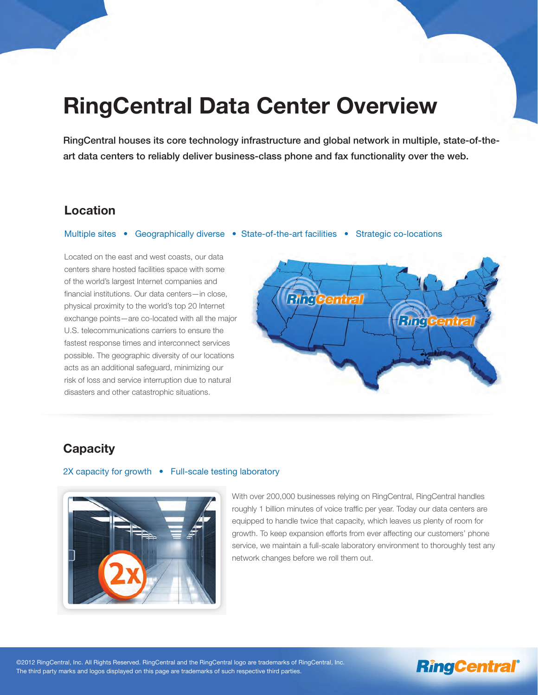# **RingCentral Data Center Overview**

RingCentral houses its core technology infrastructure and global network in multiple, state-of-theart data centers to reliably deliver business-class phone and fax functionality over the web.

### **Location**

#### Multiple sites • Geographically diverse • State-of-the-art facilities • Strategic co-locations

Located on the east and west coasts, our data centers share hosted facilities space with some of the world's largest Internet companies and financial institutions. Our data centers—in close, physical proximity to the world's top 20 Internet exchange points—are co-located with all the major U.S. telecommunications carriers to ensure the fastest response times and interconnect services possible. The geographic diversity of our locations acts as an additional safeguard, minimizing our risk of loss and service interruption due to natural disasters and other catastrophic situations.



## **Capacity**

#### 2X capacity for growth • Full-scale testing laboratory



With over 200,000 businesses relying on RingCentral, RingCentral handles roughly 1 billion minutes of voice traffic per year. Today our data centers are equipped to handle twice that capacity, which leaves us plenty of room for growth. To keep expansion efforts from ever affecting our customers' phone service, we maintain a full-scale laboratory environment to thoroughly test any network changes before we roll them out.

## **RingCentral®**